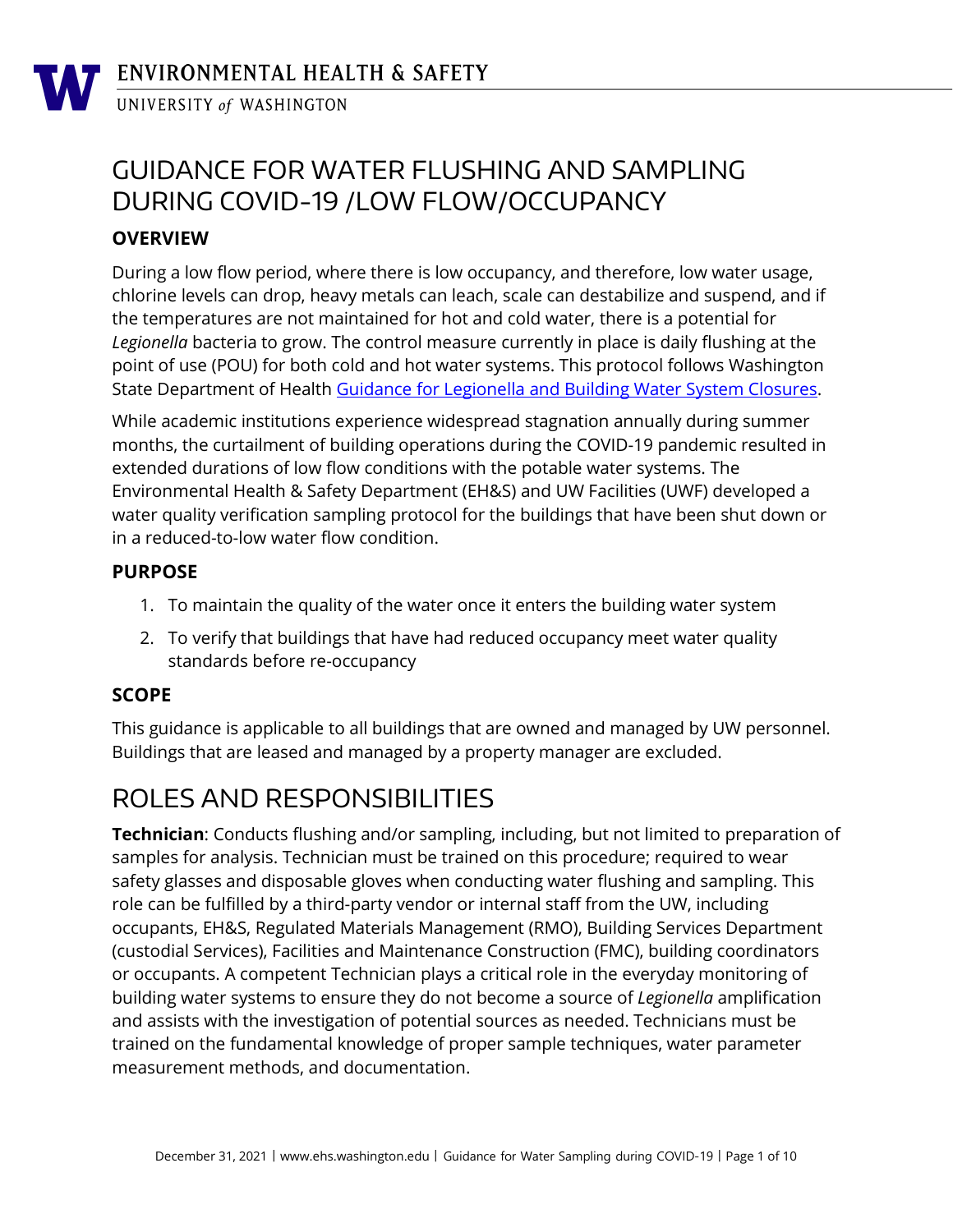# GUIDANCE FOR WATER FLUSHING AND SAMPLING DURING COVID-19 /LOW FLOW/OCCUPANCY

## **OVERVIEW**

During a low flow period, where there is low occupancy, and therefore, low water usage, chlorine levels can drop, heavy metals can leach, scale can destabilize and suspend, and if the temperatures are not maintained for hot and cold water, there is a potential for *Legionella* bacteria to grow. The control measure currently in place is daily flushing at the point of use (POU) for both cold and hot water systems. This protocol follows Washington State Department of Health [Guidance for Legionella and Building Water System Closures.](https://www.doh.wa.gov/Portals/1/Documents/Pubs/331-658.pdf)

While academic institutions experience widespread stagnation annually during summer months, the curtailment of building operations during the COVID-19 pandemic resulted in extended durations of low flow conditions with the potable water systems. The Environmental Health & Safety Department (EH&S) and UW Facilities (UWF) developed a water quality verification sampling protocol for the buildings that have been shut down or in a reduced-to-low water flow condition.

#### **PURPOSE**

- 1. To maintain the quality of the water once it enters the building water system
- 2. To verify that buildings that have had reduced occupancy meet water quality standards before re-occupancy

### **SCOPE**

This guidance is applicable to all buildings that are owned and managed by UW personnel. Buildings that are leased and managed by a property manager are excluded.

# ROLES AND RESPONSIBILITIES

**Technician**: Conducts flushing and/or sampling, including, but not limited to preparation of samples for analysis. Technician must be trained on this procedure; required to wear safety glasses and disposable gloves when conducting water flushing and sampling. This role can be fulfilled by a third-party vendor or internal staff from the UW, including occupants, EH&S, Regulated Materials Management (RMO), Building Services Department (custodial Services), Facilities and Maintenance Construction (FMC), building coordinators or occupants. A competent Technician plays a critical role in the everyday monitoring of building water systems to ensure they do not become a source of *Legionella* amplification and assists with the investigation of potential sources as needed. Technicians must be trained on the fundamental knowledge of proper sample techniques, water parameter measurement methods, and documentation.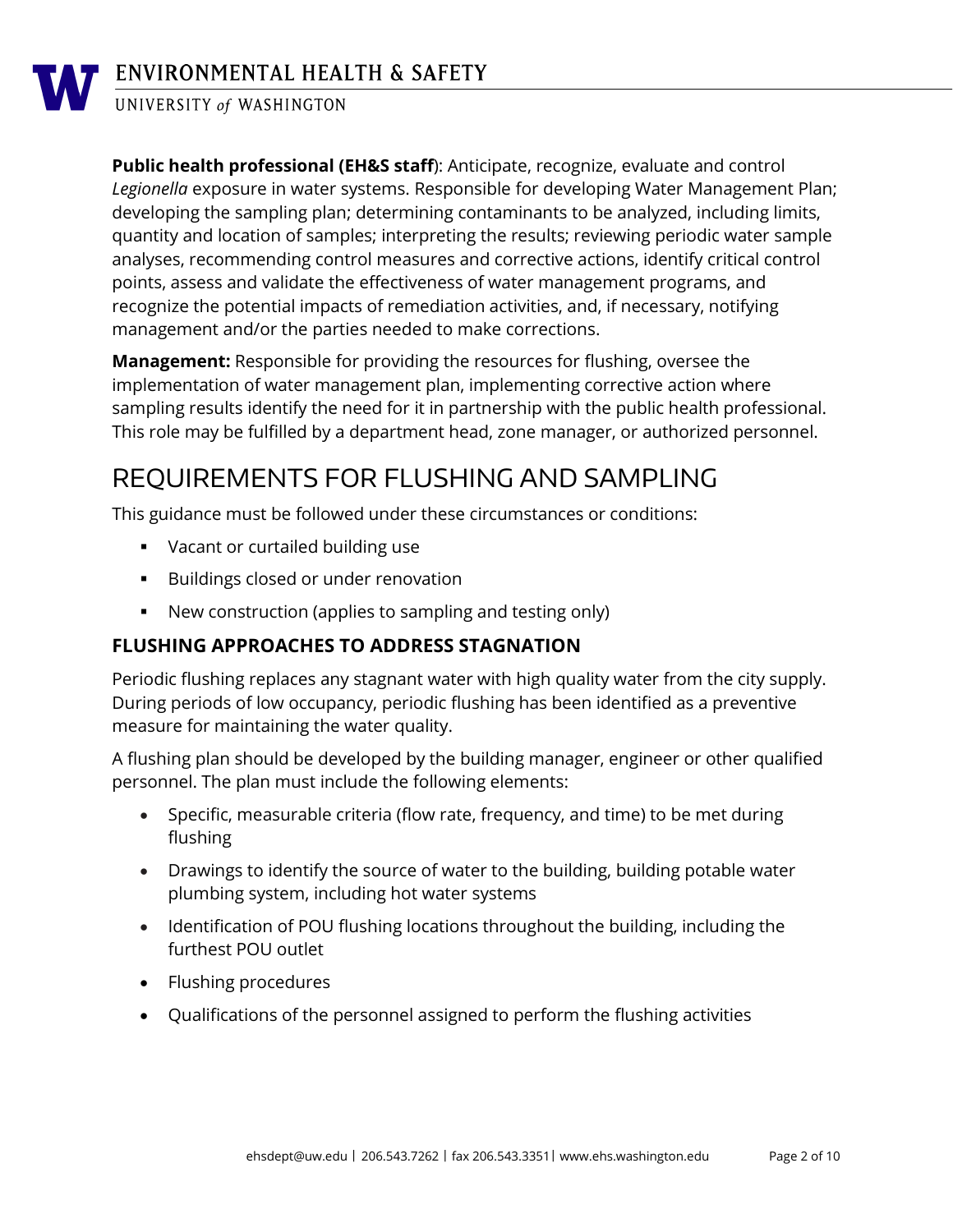

## ENVIRONMENTAL HEALTH & SAFETY

UNIVERSITY of WASHINGTON

**Public health professional (EH&S staff**): Anticipate, recognize, evaluate and control *Legionella* exposure in water systems. Responsible for developing Water Management Plan; developing the sampling plan; determining contaminants to be analyzed, including limits, quantity and location of samples; interpreting the results; reviewing periodic water sample analyses, recommending control measures and corrective actions, identify critical control points, assess and validate the effectiveness of water management programs, and recognize the potential impacts of remediation activities, and, if necessary, notifying management and/or the parties needed to make corrections.

**Management:** Responsible for providing the resources for flushing, oversee the implementation of water management plan, implementing corrective action where sampling results identify the need for it in partnership with the public health professional. This role may be fulfilled by a department head, zone manager, or authorized personnel.

## REQUIREMENTS FOR FLUSHING AND SAMPLING

This guidance must be followed under these circumstances or conditions:

- **Vacant or curtailed building use**
- **Buildings closed or under renovation**
- New construction (applies to sampling and testing only)

### **FLUSHING APPROACHES TO ADDRESS STAGNATION**

Periodic flushing replaces any stagnant water with high quality water from the city supply. During periods of low occupancy, periodic flushing has been identified as a preventive measure for maintaining the water quality.

A flushing plan should be developed by the building manager, engineer or other qualified personnel. The plan must include the following elements:

- Specific, measurable criteria (flow rate, frequency, and time) to be met during flushing
- Drawings to identify the source of water to the building, building potable water plumbing system, including hot water systems
- Identification of POU flushing locations throughout the building, including the furthest POU outlet
- Flushing procedures
- Qualifications of the personnel assigned to perform the flushing activities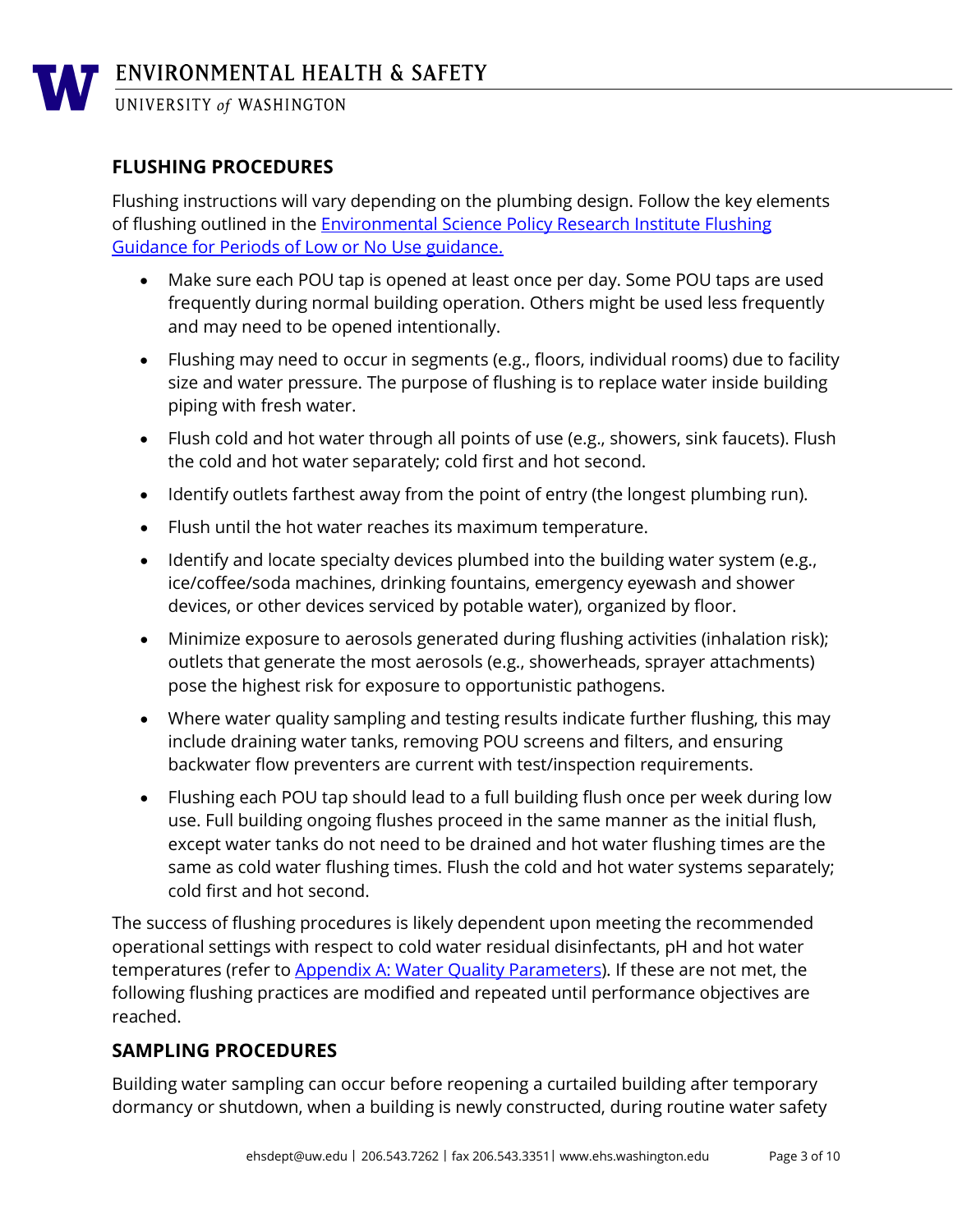#### **FLUSHING PROCEDURES**

Flushing instructions will vary depending on the plumbing design. Follow the key elements of flushing outlined in the [Environmental Science Policy Research Institute Flushing](https://esprinstitute.org/wp-content/uploads/2020/04/FINAL_Coronavirus-Building-Flushing-Guidance-20200403-rev-1.pdf)  [Guidance for Periods of Low or No Use guidance.](https://esprinstitute.org/wp-content/uploads/2020/04/FINAL_Coronavirus-Building-Flushing-Guidance-20200403-rev-1.pdf)

- Make sure each POU tap is opened at least once per day. Some POU taps are used frequently during normal building operation. Others might be used less frequently and may need to be opened intentionally.
- Flushing may need to occur in segments (e.g., floors, individual rooms) due to facility size and water pressure. The purpose of flushing is to replace water inside building piping with fresh water.
- Flush cold and hot water through all points of use (e.g., showers, sink faucets). Flush the cold and hot water separately; cold first and hot second.
- Identify outlets farthest away from the point of entry (the longest plumbing run).
- Flush until the hot water reaches its maximum temperature.
- Identify and locate specialty devices plumbed into the building water system (e.g., ice/coffee/soda machines, drinking fountains, emergency eyewash and shower devices, or other devices serviced by potable water), organized by floor.
- Minimize exposure to aerosols generated during flushing activities (inhalation risk); outlets that generate the most aerosols (e.g., showerheads, sprayer attachments) pose the highest risk for exposure to opportunistic pathogens.
- Where water quality sampling and testing results indicate further flushing, this may include draining water tanks, removing POU screens and filters, and ensuring backwater flow preventers are current with test/inspection requirements.
- Flushing each POU tap should lead to a full building flush once per week during low use. Full building ongoing flushes proceed in the same manner as the initial flush, except water tanks do not need to be drained and hot water flushing times are the same as cold water flushing times. Flush the cold and hot water systems separately; cold first and hot second.

The success of flushing procedures is likely dependent upon meeting the recommended operational settings with respect to cold water residual disinfectants, pH and hot water temperatures (refer to [Appendix A: Water Quality Parameters\)](#page-7-0). If these are not met, the following flushing practices are modified and repeated until performance objectives are reached.

#### **SAMPLING PROCEDURES**

Building water sampling can occur before reopening a curtailed building after temporary dormancy or shutdown, when a building is newly constructed, during routine water safety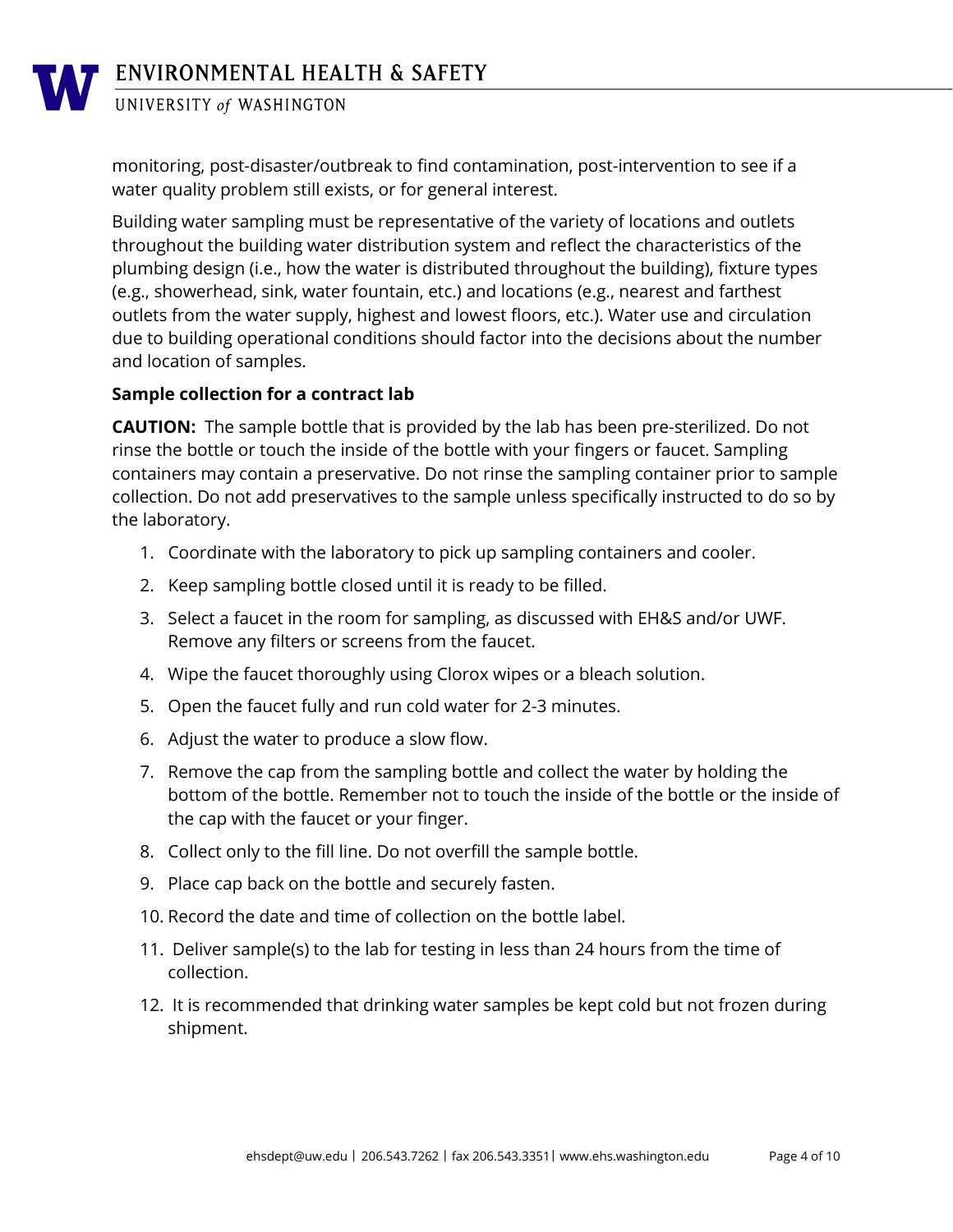monitoring, post-disaster/outbreak to find contamination, post-intervention to see if a water quality problem still exists, or for general interest.

Building water sampling must be representative of the variety of locations and outlets throughout the building water distribution system and reflect the characteristics of the plumbing design (i.e., how the water is distributed throughout the building), fixture types (e.g., showerhead, sink, water fountain, etc.) and locations (e.g., nearest and farthest outlets from the water supply, highest and lowest floors, etc.). Water use and circulation due to building operational conditions should factor into the decisions about the number and location of samples.

#### **Sample collection for a contract lab**

**CAUTION:** The sample bottle that is provided by the lab has been pre-sterilized. Do not rinse the bottle or touch the inside of the bottle with your fingers or faucet. Sampling containers may contain a preservative. Do not rinse the sampling container prior to sample collection. Do not add preservatives to the sample unless specifically instructed to do so by the laboratory.

- 1. Coordinate with the laboratory to pick up sampling containers and cooler.
- 2. Keep sampling bottle closed until it is ready to be filled.
- 3. Select a faucet in the room for sampling, as discussed with EH&S and/or UWF. Remove any filters or screens from the faucet.
- 4. Wipe the faucet thoroughly using Clorox wipes or a bleach solution.
- 5. Open the faucet fully and run cold water for 2-3 minutes.
- 6. Adjust the water to produce a slow flow.
- 7. Remove the cap from the sampling bottle and collect the water by holding the bottom of the bottle. Remember not to touch the inside of the bottle or the inside of the cap with the faucet or your finger.
- 8. Collect only to the fill line. Do not overfill the sample bottle.
- 9. Place cap back on the bottle and securely fasten.
- 10. Record the date and time of collection on the bottle label.
- 11. Deliver sample(s) to the lab for testing in less than 24 hours from the time of collection.
- 12. It is recommended that drinking water samples be kept cold but not frozen during shipment.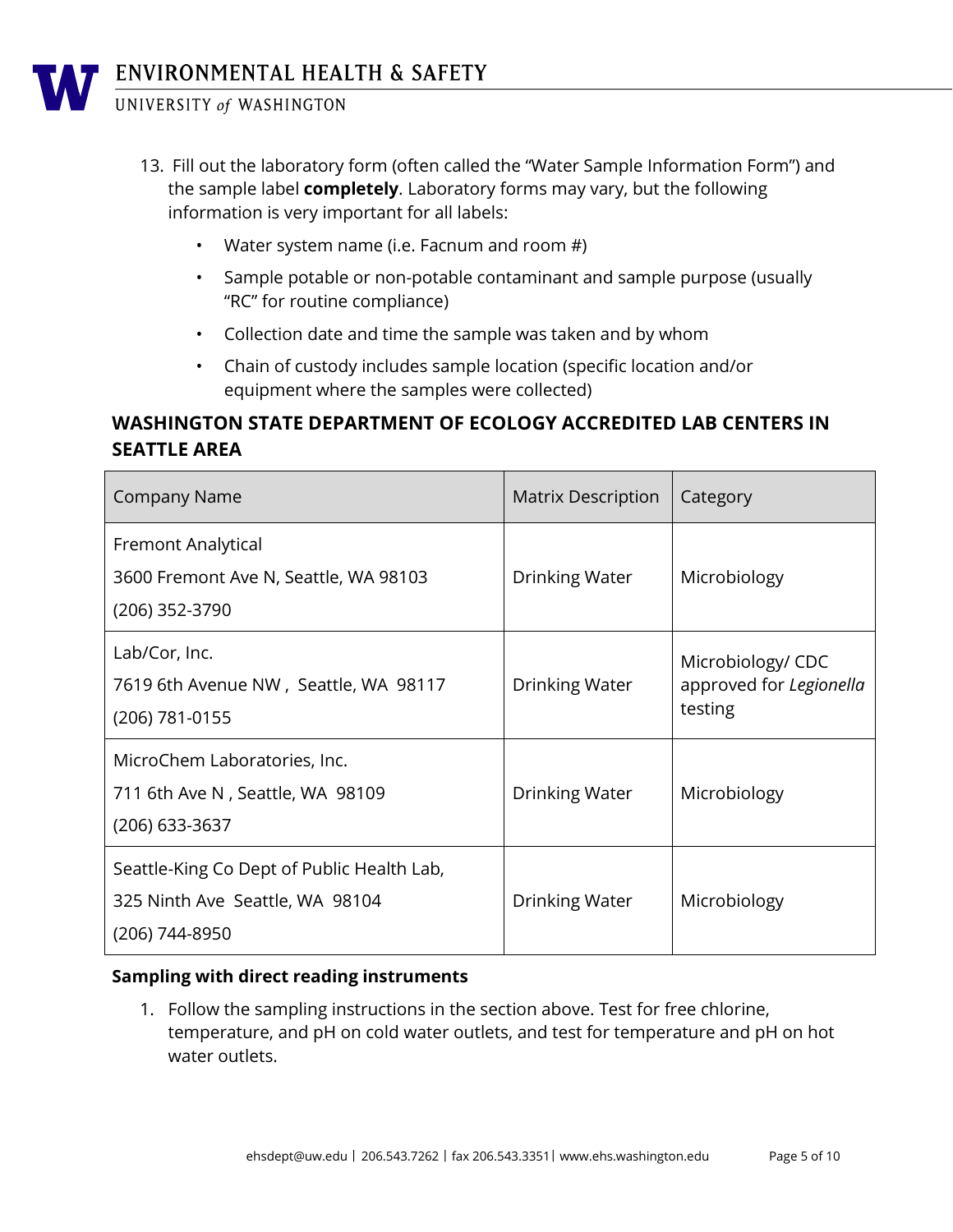- 13. Fill out the laboratory form (often called the "Water Sample Information Form") and the sample label **completely**. Laboratory forms may vary, but the following information is very important for all labels:
	- Water system name (i.e. Facnum and room #)
	- Sample potable or non-potable contaminant and sample purpose (usually "RC" for routine compliance)
	- Collection date and time the sample was taken and by whom
	- Chain of custody includes sample location (specific location and/or equipment where the samples were collected)

### **WASHINGTON STATE DEPARTMENT OF ECOLOGY ACCREDITED LAB CENTERS IN SEATTLE AREA**

| <b>Company Name</b>                                                                             | <b>Matrix Description</b> | Category                                                |
|-------------------------------------------------------------------------------------------------|---------------------------|---------------------------------------------------------|
| Fremont Analytical<br>3600 Fremont Ave N, Seattle, WA 98103<br>(206) 352-3790                   | Drinking Water            | Microbiology                                            |
| Lab/Cor, Inc.<br>7619 6th Avenue NW, Seattle, WA 98117<br>(206) 781-0155                        | Drinking Water            | Microbiology/ CDC<br>approved for Legionella<br>testing |
| MicroChem Laboratories, Inc.<br>711 6th Ave N, Seattle, WA 98109<br>(206) 633-3637              | Drinking Water            | Microbiology                                            |
| Seattle-King Co Dept of Public Health Lab,<br>325 Ninth Ave Seattle, WA 98104<br>(206) 744-8950 | Drinking Water            | Microbiology                                            |

#### **Sampling with direct reading instruments**

1. Follow the sampling instructions in the section above. Test for free chlorine, temperature, and pH on cold water outlets, and test for temperature and pH on hot water outlets.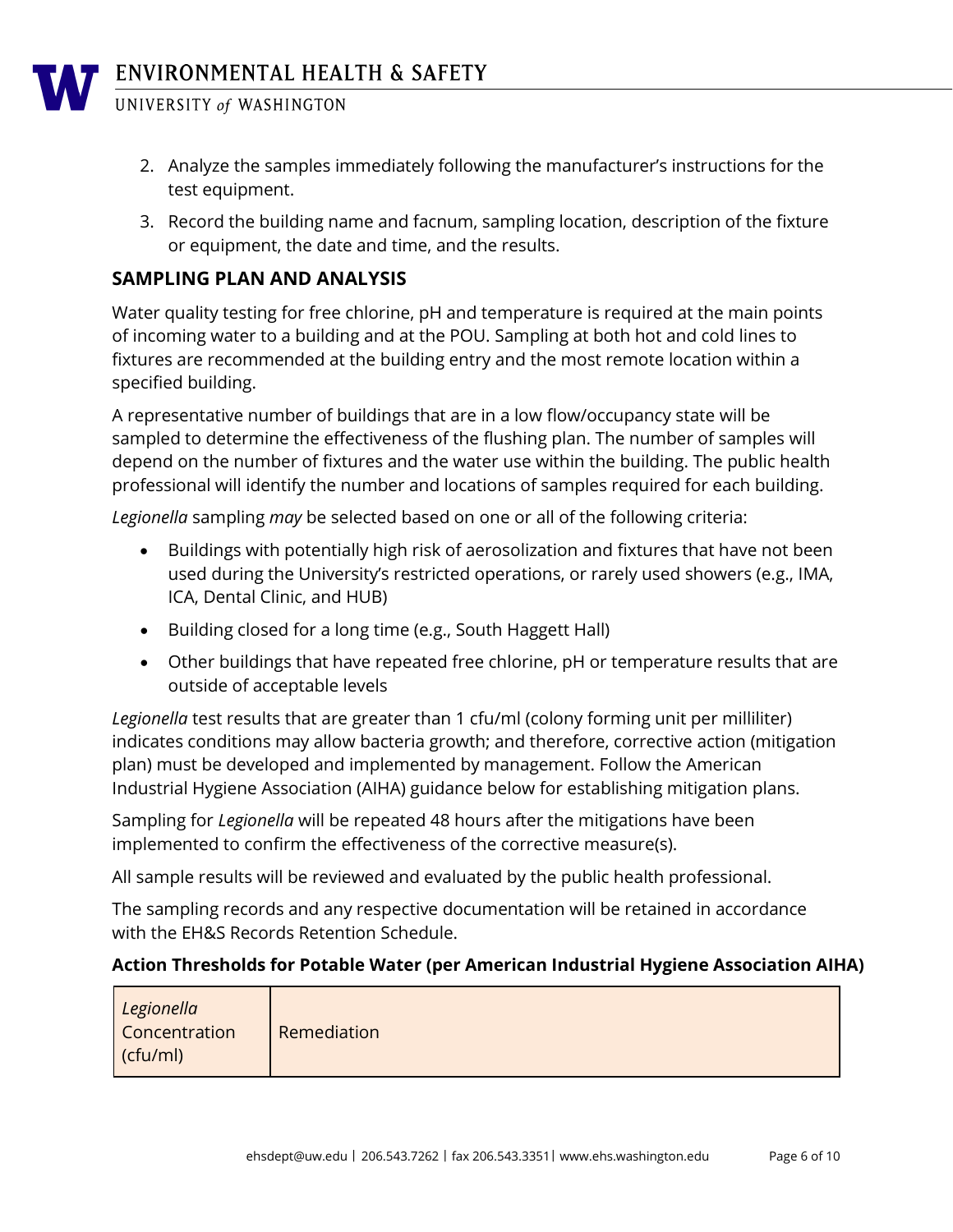- 2. Analyze the samples immediately following the manufacturer's instructions for the test equipment.
- 3. Record the building name and facnum, sampling location, description of the fixture or equipment, the date and time, and the results.

#### **SAMPLING PLAN AND ANALYSIS**

Water quality testing for free chlorine, pH and temperature is required at the main points of incoming water to a building and at the POU. Sampling at both hot and cold lines to fixtures are recommended at the building entry and the most remote location within a specified building.

A representative number of buildings that are in a low flow/occupancy state will be sampled to determine the effectiveness of the flushing plan. The number of samples will depend on the number of fixtures and the water use within the building. The public health professional will identify the number and locations of samples required for each building.

*Legionella* sampling *may* be selected based on one or all of the following criteria:

- Buildings with potentially high risk of aerosolization and fixtures that have not been used during the University's restricted operations, or rarely used showers (e.g., IMA, ICA, Dental Clinic, and HUB)
- Building closed for a long time (e.g., South Haggett Hall)
- Other buildings that have repeated free chlorine, pH or temperature results that are outside of acceptable levels

*Legionella* test results that are greater than 1 cfu/ml (colony forming unit per milliliter) indicates conditions may allow bacteria growth; and therefore, corrective action (mitigation plan) must be developed and implemented by management. Follow the American Industrial Hygiene Association (AIHA) guidance below for establishing mitigation plans.

Sampling for *Legionella* will be repeated 48 hours after the mitigations have been implemented to confirm the effectiveness of the corrective measure(s).

All sample results will be reviewed and evaluated by the public health professional.

The sampling records and any respective documentation will be retained in accordance with the EH&S Records Retention Schedule.

#### **Action Thresholds for Potable Water (per American Industrial Hygiene Association AIHA)**

| Legionella<br><b>Concentration</b> | Remediation |
|------------------------------------|-------------|
| (cfu/ml)                           |             |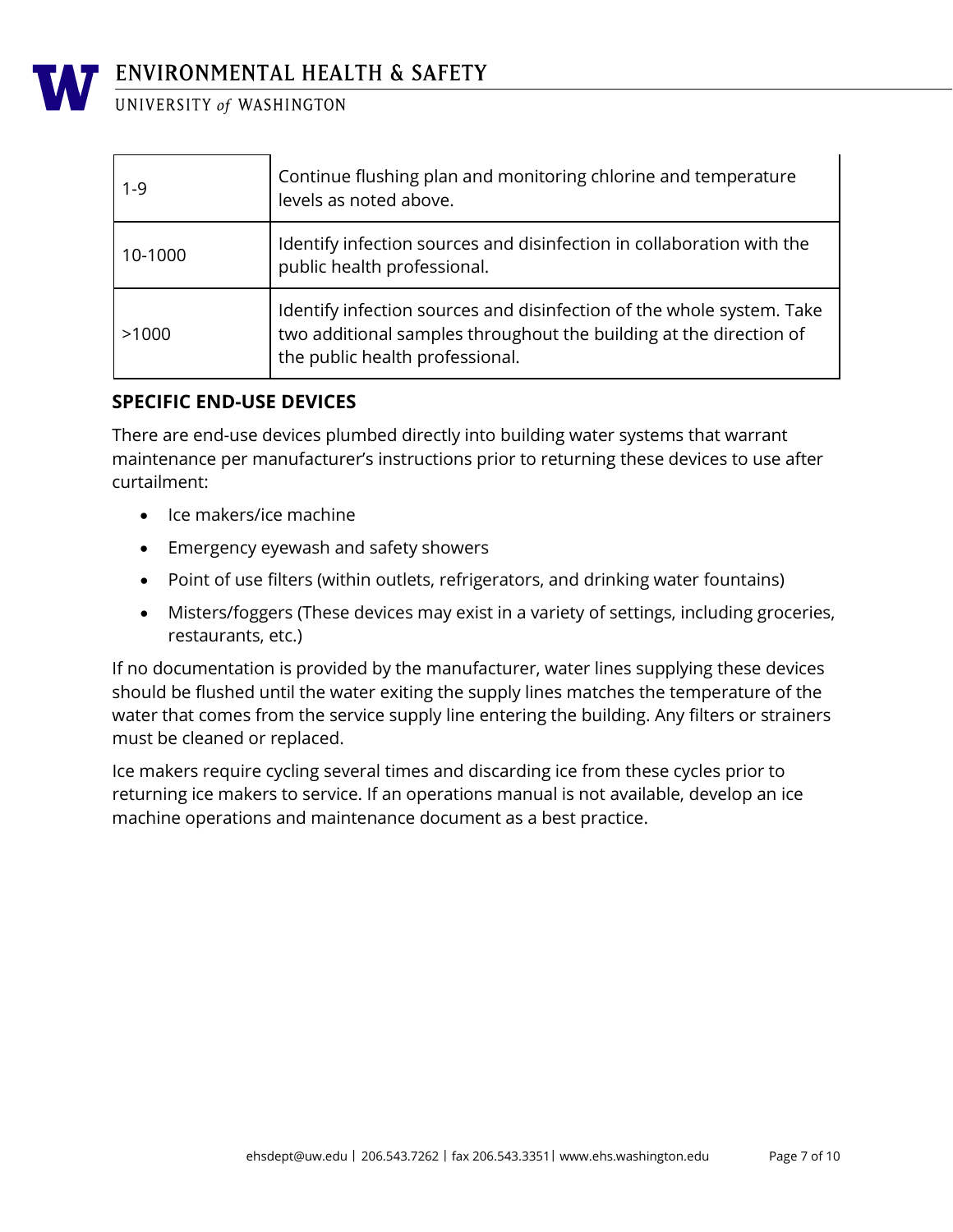

| $1 - 9$ | Continue flushing plan and monitoring chlorine and temperature<br>levels as noted above.                                                                                       |
|---------|--------------------------------------------------------------------------------------------------------------------------------------------------------------------------------|
| 10-1000 | Identify infection sources and disinfection in collaboration with the<br>public health professional.                                                                           |
| >1000   | Identify infection sources and disinfection of the whole system. Take<br>two additional samples throughout the building at the direction of<br>the public health professional. |

#### **SPECIFIC END-USE DEVICES**

There are end-use devices plumbed directly into building water systems that warrant maintenance per manufacturer's instructions prior to returning these devices to use after curtailment:

- Ice makers/ice machine
- Emergency eyewash and safety showers
- Point of use filters (within outlets, refrigerators, and drinking water fountains)
- Misters/foggers (These devices may exist in a variety of settings, including groceries, restaurants, etc.)

If no documentation is provided by the manufacturer, water lines supplying these devices should be flushed until the water exiting the supply lines matches the temperature of the water that comes from the service supply line entering the building. Any filters or strainers must be cleaned or replaced.

Ice makers require cycling several times and discarding ice from these cycles prior to returning ice makers to service. If an operations manual is not available, develop an ice machine operations and maintenance document as a best practice.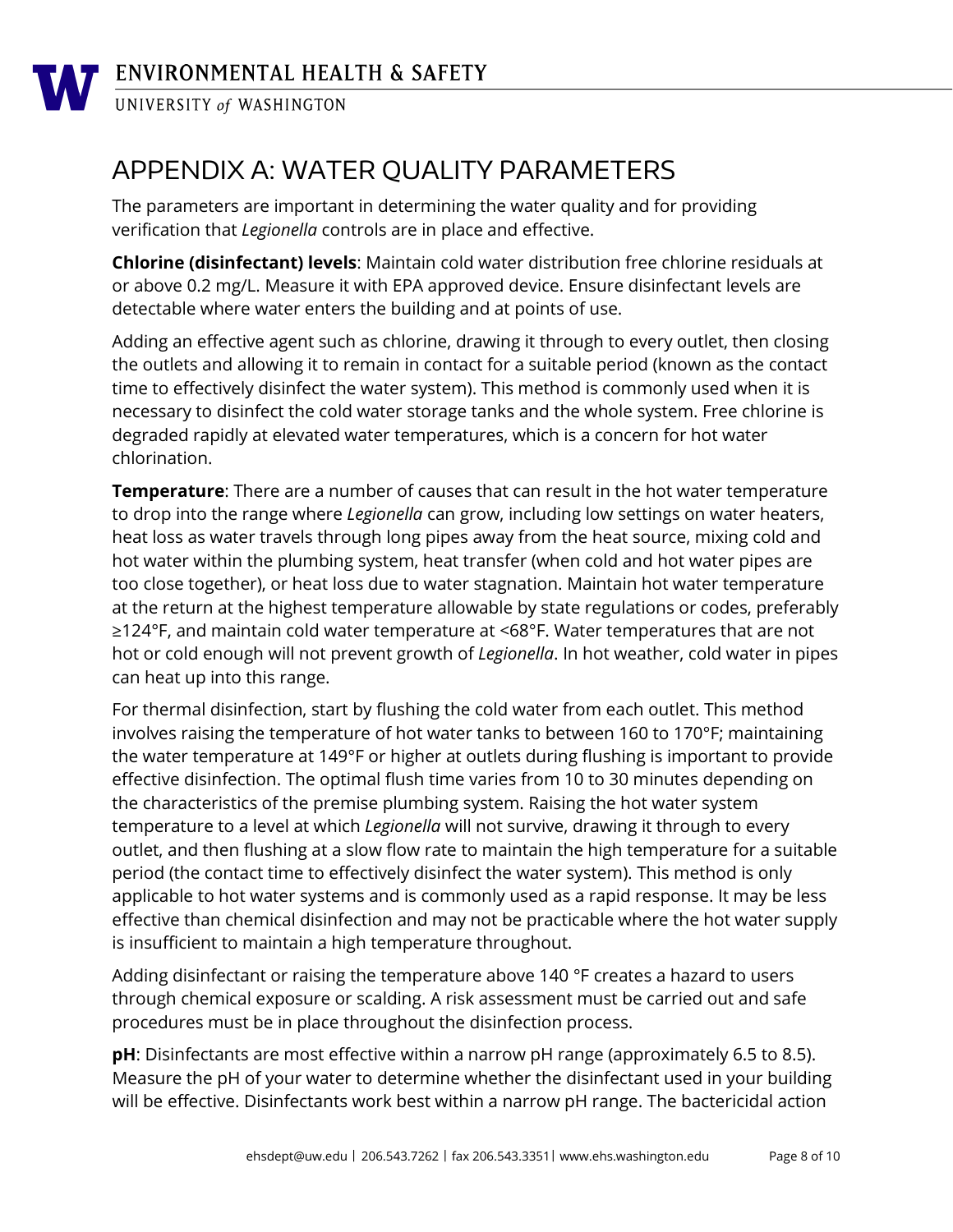

ENVIRONMENTAL HEALTH & SAFETY

UNIVERSITY of WASHINGTON

## <span id="page-7-0"></span>APPENDIX A: WATER QUALITY PARAMETERS

The parameters are important in determining the water quality and for providing verification that *Legionella* controls are in place and effective.

**Chlorine (disinfectant) levels**: Maintain cold water distribution free chlorine residuals at or above 0.2 mg/L. Measure it with EPA approved device. Ensure disinfectant levels are detectable where water enters the building and at points of use.

Adding an effective agent such as chlorine, drawing it through to every outlet, then closing the outlets and allowing it to remain in contact for a suitable period (known as the contact time to effectively disinfect the water system). This method is commonly used when it is necessary to disinfect the cold water storage tanks and the whole system. Free chlorine is degraded rapidly at elevated water temperatures, which is a concern for hot water chlorination.

**Temperature**: There are a number of causes that can result in the hot water temperature to drop into the range where *Legionella* can grow, including low settings on water heaters, heat loss as water travels through long pipes away from the heat source, mixing cold and hot water within the plumbing system, heat transfer (when cold and hot water pipes are too close together), or heat loss due to water stagnation. Maintain hot water temperature at the return at the highest temperature allowable by state regulations or codes, preferably ≥124°F, and maintain cold water temperature at <68°F. Water temperatures that are not hot or cold enough will not prevent growth of *Legionella*. In hot weather, cold water in pipes can heat up into this range.

For thermal disinfection, start by flushing the cold water from each outlet. This method involves raising the temperature of hot water tanks to between 160 to 170°F; maintaining the water temperature at 149°F or higher at outlets during flushing is important to provide effective disinfection. The optimal flush time varies from 10 to 30 minutes depending on the characteristics of the premise plumbing system. Raising the hot water system temperature to a level at which *Legionella* will not survive, drawing it through to every outlet, and then flushing at a slow flow rate to maintain the high temperature for a suitable period (the contact time to effectively disinfect the water system). This method is only applicable to hot water systems and is commonly used as a rapid response. It may be less effective than chemical disinfection and may not be practicable where the hot water supply is insufficient to maintain a high temperature throughout.

Adding disinfectant or raising the temperature above 140 °F creates a hazard to users through chemical exposure or scalding. A risk assessment must be carried out and safe procedures must be in place throughout the disinfection process.

**pH**: Disinfectants are most effective within a narrow pH range (approximately 6.5 to 8.5). Measure the pH of your water to determine whether the disinfectant used in your building will be effective. Disinfectants work best within a narrow pH range. The bactericidal action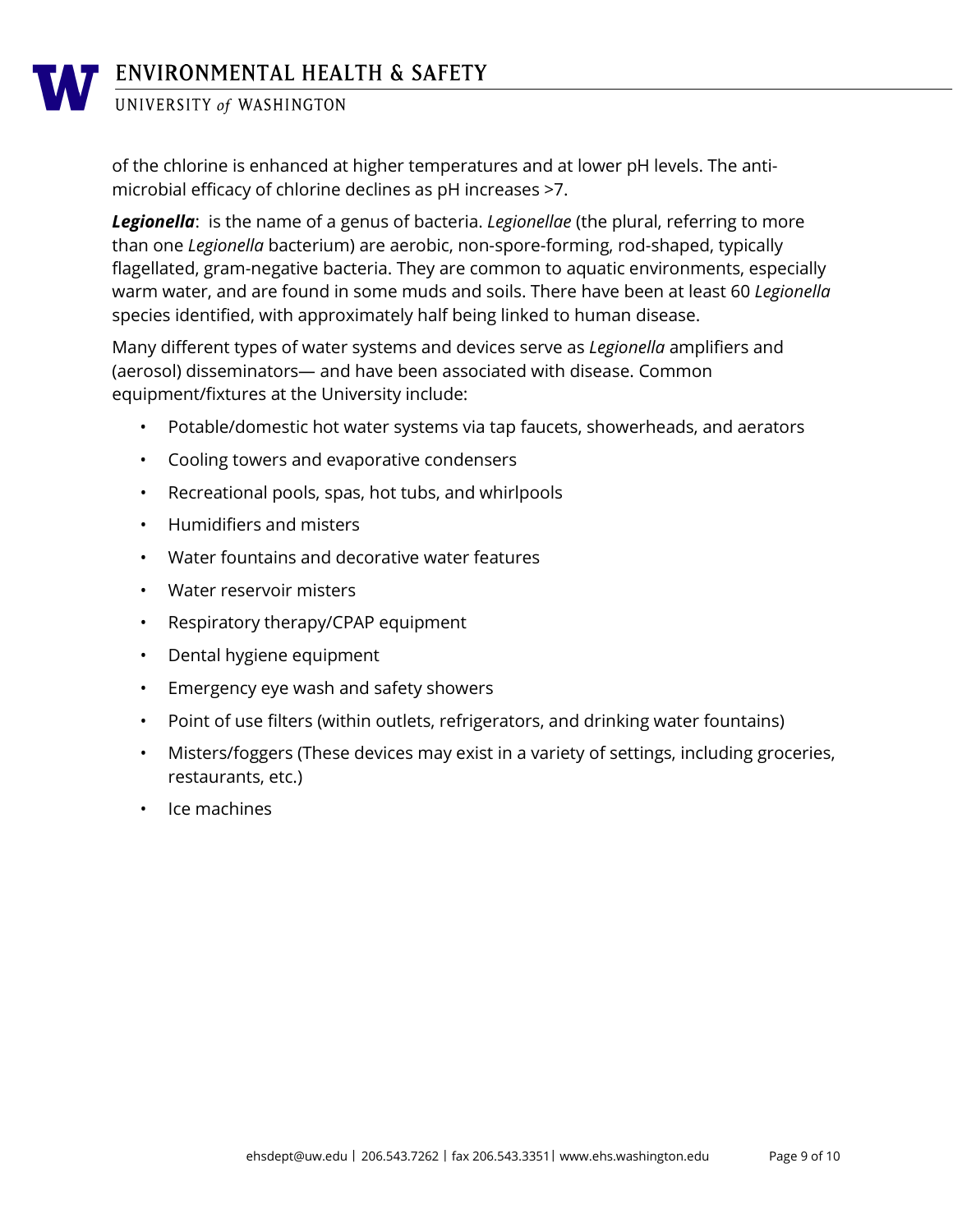of the chlorine is enhanced at higher temperatures and at lower pH levels. The antimicrobial efficacy of chlorine declines as pH increases >7.

*Legionella*: is the name of a genus of bacteria. *Legionellae* (the plural, referring to more than one *Legionella* bacterium) are aerobic, non-spore-forming, rod-shaped, typically flagellated, gram-negative bacteria. They are common to aquatic environments, especially warm water, and are found in some muds and soils. There have been at least 60 *Legionella* species identified, with approximately half being linked to human disease.

Many different types of water systems and devices serve as *Legionella* amplifiers and (aerosol) disseminators— and have been associated with disease. Common equipment/fixtures at the University include:

- Potable/domestic hot water systems via tap faucets, showerheads, and aerators
- Cooling towers and evaporative condensers
- Recreational pools, spas, hot tubs, and whirlpools
- Humidifiers and misters
- Water fountains and decorative water features
- Water reservoir misters
- Respiratory therapy/CPAP equipment
- Dental hygiene equipment
- Emergency eye wash and safety showers
- Point of use filters (within outlets, refrigerators, and drinking water fountains)
- Misters/foggers (These devices may exist in a variety of settings, including groceries, restaurants, etc.)
- Ice machines